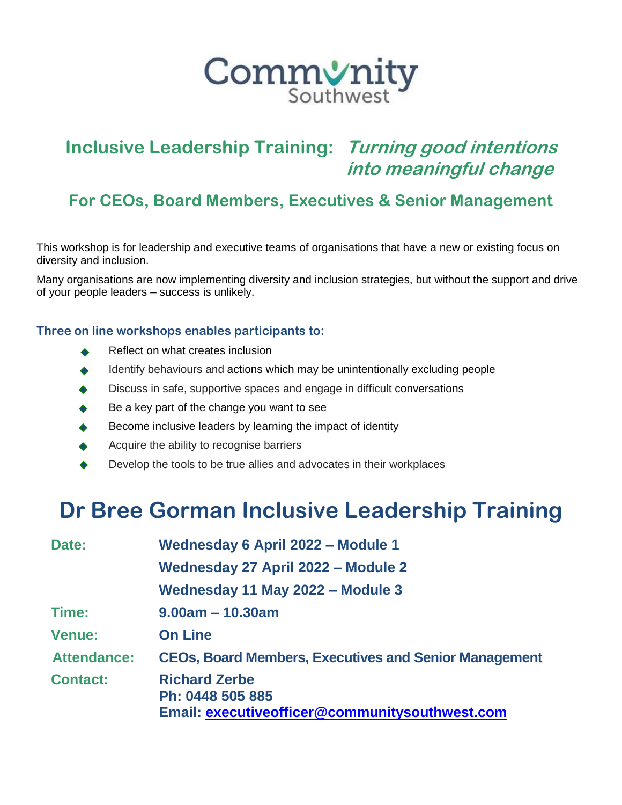

## **Inclusive Leadership Training: Turning good intentions into meaningful change**

### **For CEOs, Board Members, Executives & Senior Management**

This workshop is for leadership and executive teams of organisations that have a new or existing focus on diversity and inclusion.

Many organisations are now implementing diversity and inclusion strategies, but without the support and drive of your people leaders – success is unlikely.

### **Three on line workshops enables participants to:**

- Reflect on what creates inclusion
- Identify behaviours and actions which may be unintentionally excluding people  $\bullet$
- Discuss in safe, supportive spaces and engage in difficult conversations
- Be a key part of the change you want to see
- Become inclusive leaders by learning the impact of identity
- Acquire the ability to recognise barriers
- Develop the tools to be true allies and advocates in their workplaces

# **Dr Bree Gorman Inclusive Leadership Training**

| Wednesday 6 April 2022 - Module 1<br>Date: |                                                                                            |
|--------------------------------------------|--------------------------------------------------------------------------------------------|
|                                            | Wednesday 27 April 2022 - Module 2                                                         |
|                                            | Wednesday 11 May 2022 - Module 3                                                           |
| Time:                                      | $9.00am - 10.30am$                                                                         |
| <b>Venue:</b>                              | <b>On Line</b>                                                                             |
| <b>Attendance:</b>                         | <b>CEOs, Board Members, Executives and Senior Management</b>                               |
| <b>Contact:</b>                            | <b>Richard Zerbe</b><br>Ph: 0448 505 885<br>Email: executiveofficer@communitysouthwest.com |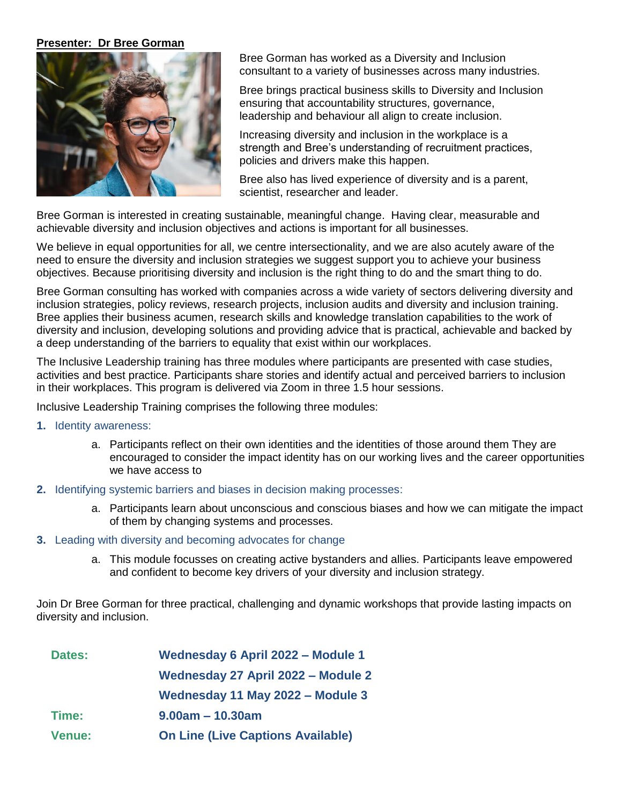#### **Presenter: Dr Bree Gorman**



Bree Gorman has worked as a Diversity and Inclusion consultant to a variety of businesses across many industries.

Bree brings practical business skills to Diversity and Inclusion ensuring that accountability structures, governance, leadership and behaviour all align to create inclusion.

Increasing diversity and inclusion in the workplace is a strength and Bree's understanding of recruitment practices, policies and drivers make this happen.

Bree also has lived experience of diversity and is a parent, scientist, researcher and leader.

Bree Gorman is interested in creating sustainable, meaningful change. Having clear, measurable and achievable diversity and inclusion objectives and actions is important for all businesses.

We believe in equal opportunities for all, we centre intersectionality, and we are also acutely aware of the need to ensure the diversity and inclusion strategies we suggest support you to achieve your business objectives. Because prioritising diversity and inclusion is the right thing to do and the smart thing to do.

Bree Gorman consulting has worked with companies across a wide variety of sectors delivering diversity and inclusion strategies, policy reviews, research projects, inclusion audits and diversity and inclusion training. Bree applies their business acumen, research skills and knowledge translation capabilities to the work of diversity and inclusion, developing solutions and providing advice that is practical, achievable and backed by a deep understanding of the barriers to equality that exist within our workplaces.

The Inclusive Leadership training has three modules where participants are presented with case studies, activities and best practice. Participants share stories and identify actual and perceived barriers to inclusion in their workplaces. This program is delivered via Zoom in three 1.5 hour sessions.

Inclusive Leadership Training comprises the following three modules:

- **1.** Identity awareness:
	- a. Participants reflect on their own identities and the identities of those around them They are encouraged to consider the impact identity has on our working lives and the career opportunities we have access to
- **2.** Identifying systemic barriers and biases in decision making processes:
	- a. Participants learn about unconscious and conscious biases and how we can mitigate the impact of them by changing systems and processes.
- **3.** Leading with diversity and becoming advocates for change
	- a. This module focusses on creating active bystanders and allies. Participants leave empowered and confident to become key drivers of your diversity and inclusion strategy.

Join Dr Bree Gorman for three practical, challenging and dynamic workshops that provide lasting impacts on diversity and inclusion.

| <b>Dates:</b> | Wednesday 6 April 2022 - Module 1        |
|---------------|------------------------------------------|
|               | Wednesday 27 April 2022 - Module 2       |
|               | Wednesday 11 May 2022 - Module 3         |
| Time:         | $9.00am - 10.30am$                       |
| <b>Venue:</b> | <b>On Line (Live Captions Available)</b> |